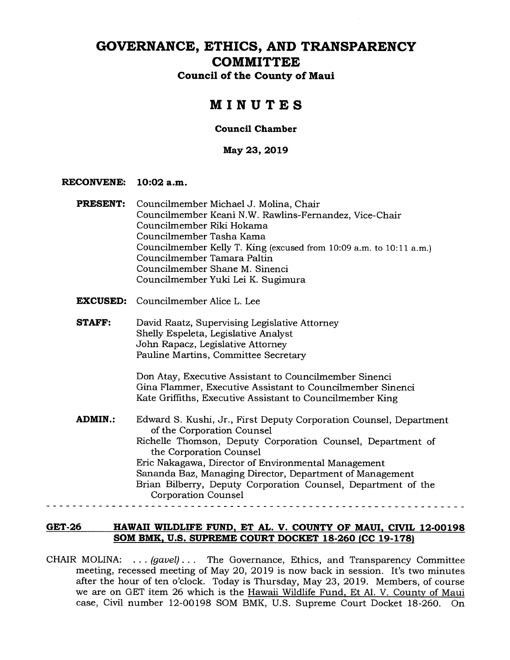# **GOVERNANCE, ETHICS, AND TRANSPARENCY COMMITTEE**

**Council of the County of Maui** 

# **MINUTES**

### **Council Chamber**

**May 23, 2019** 

#### **RECONVENE: 10:02 a.m.**

|  | <b>PRESENT:</b> Councilmember Michael J. Molina, Chair              |
|--|---------------------------------------------------------------------|
|  | Councilmember Keani N.W. Rawlins-Fernandez, Vice-Chair              |
|  | Councilmember Riki Hokama                                           |
|  | Councilmember Tasha Kama                                            |
|  | Councilmember Kelly T. King (excused from 10:09 a.m. to 10:11 a.m.) |
|  | Councilmember Tamara Paltin                                         |
|  | Councilmember Shane M. Sinenci                                      |
|  | Councilmember Yuki Lei K. Sugimura                                  |
|  |                                                                     |

- **EXCUSED:** Councilmember Alice L. Lee
- **STAFF:** David Raatz, Supervising Legislative Attorney Shelly Espeleta, Legislative Analyst John Rapacz, Legislative Attorney Pauline Martins, Committee Secretary

Don Atay, Executive Assistant to Councilmember Sinenci Gina Flammer, Executive Assistant to Councilmember Sinenci Kate Griffiths, Executive Assistant to Councilmember King

**ADMIN.:** Edward S. Kushi, Jr., First Deputy Corporation Counsel, Department of the Corporation Counsel Richelle Thomson, Deputy Corporation Counsel, Department of the Corporation Counsel Eric Nakagawa, Director of Environmental Management Sananda Baz, Managing Director, Department of Management Brian Bilberry, Deputy Corporation Counsel, Department of the Corporation Counsel

### **GET-26 HAWAII WILDLIFE FUND, ET AL. V. COUNTY OF MAUI, CIVIL 12-00198 SOM BMK, U.S. SUPREME COURT DOCKET 18-260 (CC 19-178)**

CHAIR MOLINA: . . . *(gavel) . . .* The Governance, Ethics, and Transparency Committee meeting, recessed meeting of May 20, 2019 is now back in session. It's two minutes after the hour of ten o'clock. Today is Thursday, May 23, 2019. Members, of course we are on GET item 26 which is the Hawaii Wildlife Fund, Et Al. V. County of Maui case, Civil number 12-00198 SOM BMK, U.S. Supreme Court Docket 18-260. On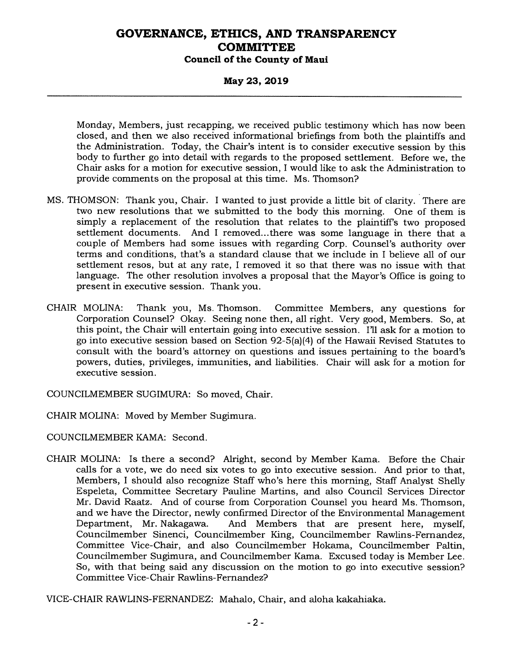### **May 23, 2019**

Monday, Members, just recapping, we received public testimony which has now been closed, and then we also received informational briefings from both the plaintiffs and the Administration. Today, the Chair's intent is to consider executive session by this body to further go into detail with regards to the proposed settlement. Before we, the Chair asks for a motion for executive session, I would like to ask the Administration to provide comments on the proposal at this time. Ms. Thomson?

- MS. THOMSON: Thank you, Chair. I wanted to just provide a little bit of clarity. There are two new resolutions that we submitted to the body this morning. One of them is simply a replacement of the resolution that relates to the plaintiff's two proposed settlement documents. And I removed...there was some language in there that a couple of Members had some issues with regarding Corp. Counsel's authority over terms and conditions, that's a standard clause that we include in I believe all of our settlement resos, but at any rate, I removed it so that there was no issue with that language. The other resolution involves a proposal that the Mayor's Office is going to present in executive session. Thank you.
- CHAIR MOLINA: Thank you, Ms. Thomson. Committee Members, any questions for Corporation Counsel? Okay. Seeing none then, all right. Very good, Members. So, at this point, the Chair will entertain going into executive session. I'll ask for a motion to go into executive session based on Section 92-5(a)(4) of the Hawaii Revised Statutes to consult with the board's attorney on questions and issues pertaining to the board's powers, duties, privileges, immunities, and liabilities. Chair will ask for a motion for executive session.

COUNCILMEMBER SUGIMURA: So moved, Chair.

CHAIR MOLINA: Moved by Member Sugimura.

COUNCILMEMBER KAMA: Second.

CHAIR MOLINA: Is there a second? Alright, second by Member Kama. Before the Chair calls for a vote, we do need six votes to go into executive session. And prior to that, Members, I should also recognize Staff who's here this morning, Staff Analyst Shelly Espeleta, Committee Secretary Pauline Martins, and also Council Services Director Mr. David Raatz. And of course from Corporation Counsel you heard Ms. Thomson, and we have the Director, newly confirmed Director of the Environmental Management<br>Department, Mr. Nakagawa. And Members that are present here, myself, And Members that are present here, myself, Councilmember Sinenci, Councilmember King, Councilmember Rawlins-Fernandez, Committee Vice-Chair, and also Councilmember Hokama, Councilmember Paltin, Councilmember Sugimura, and Councilmember Kama. Excused today is Member Lee. So, with that being said any discussion on the motion to go into executive session? Committee Vice-Chair Rawlins-Fernandez?

VICE-CHAIR RAWLINS-FERNANDEZ: Mahalo, Chair, and aloha kakahiaka.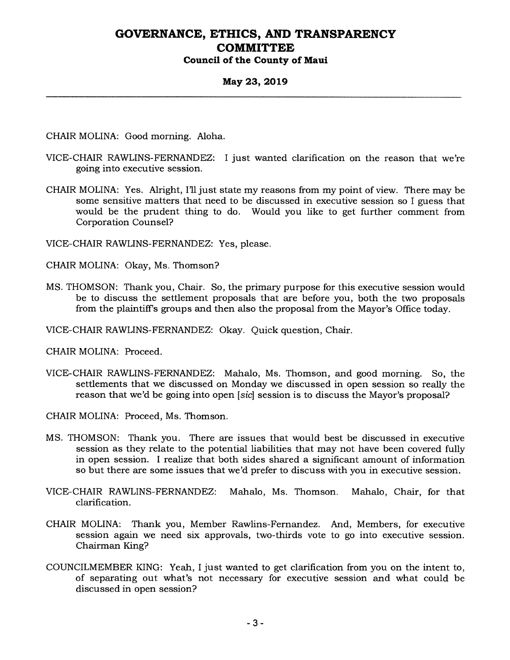#### **May 23, 2019**

CHAIR MOLINA: Good morning. Aloha.

- VICE-CHAIR RAWLINS-FERNANDEZ: I just wanted clarification on the reason that we're going into executive session.
- CHAIR MOLINA: Yes. Alright, I'll just state my reasons from my point of view. There may be some sensitive matters that need to be discussed in executive session so I guess that would be the prudent thing to do. Would you like to get further comment from Corporation Counsel?

VICE-CHAIR RAWLINS-FERNANDEZ: Yes, please.

CHAIR MOLINA: Okay, Ms. Thomson?

- MS. THOMSON: Thank you, Chair. So, the primary purpose for this executive session would be to discuss the settlement proposals that are before you, both the two proposals from the plaintiff's groups and then also the proposal from the Mayor's Office today.
- VICE-CHAIR RAWLINS-FERNANDEZ: Okay. Quick question, Chair.

CHAIR MOLINA: Proceed.

VICE-CHAIR RAWLINS-FERNANDEZ: Mahalo, Ms. Thomson, and good morning. So, the settlements that we discussed on Monday we discussed in open session so really the reason that we'd be going into open *[sic]* session is to discuss the Mayor's proposal?

CHAIR MOLINA: Proceed, Ms. Thomson.

- MS. THOMSON: Thank you. There are issues that would best be discussed in executive session as they relate to the potential liabilities that may not have been covered fully in open session. I realize that both sides shared a significant amount of information so but there are some issues that we'd prefer to discuss with you in executive session.
- VICE-CHAIR RAWLINS-FERNANDEZ: Mahalo, Ms. Thomson. Mahalo, Chair, for that clarification.
- CHAIR MOLINA: Thank you, Member Rawlins-Fernandez. And, Members, for executive session again we need six approvals, two-thirds vote to go into executive session. Chairman King?
- COUNCILMEMBER KING: Yeah, I just wanted to get clarification from you on the intent to, of separating out what's not necessary for executive session and what could be discussed in open session?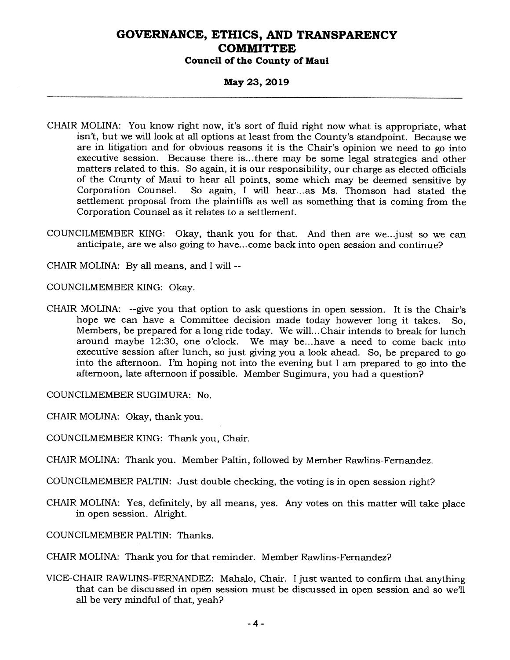#### **May 23, 2019**

- CHAIR MOLINA: You know right now, it's sort of fluid right now what is appropriate, what isn't, but we will look at all options at least from the County's standpoint. Because we are in litigation and for obvious reasons it is the Chair's opinion we need to go into executive session. Because there is...there may be some legal strategies and other matters related to this. So again, it is our responsibility, our charge as elected officials of the County of Maui to hear all points, some which may be deemed sensitive by Corporation Counsel. So again. I will hear...as Ms. Thomson had stated the So again, I will hear...as Ms. Thomson had stated the settlement proposal from the plaintiffs as well as something that is coming from the Corporation Counsel as it relates to a settlement.
- COUNCILMEMBER KING: Okay, thank you for that. And then are we...just so we can anticipate, are we also going to have...come back into open session and continue?

CHAIR MOLINA: By all means, and I will --

COUNCILMEMBER KING: Okay.

CHAIR MOLINA: --give you that option to ask questions in open session. It is the Chair's hope we can have a Committee decision made today however long it takes. So, Members, be prepared for a long ride today. We will...Chair intends to break for lunch<br>around maybe 12:30, one o'clock. We may be...have a need to come back into We may be...have a need to come back into executive session after lunch, so just giving you a look ahead. So, be prepared to go into the afternoon. I'm hoping not into the evening but I am prepared to go into the afternoon, late afternoon if possible. Member Sugimura, you had a question?

COUNCILMEMBER SUGIMURA: No.

CHAIR MOLINA: Okay, thank you.

COUNCILMEMBER KING: Thank you, Chair.

CHAIR MOLINA: Thank you. Member Paltin, followed by Member Rawlins-Fernandez.

COUNCILMEMBER PALTIN: Just double checking, the voting is in open session right?

CHAIR MOLINA: Yes, definitely, by all means, yes. Any votes on this matter will take place in open session. Alright.

COUNCILMEMBER PALTIN: Thanks.

CHAIR MOLINA: Thank you for that reminder. Member Rawlins-Fernandez?

VICE-CHAIR RAWLINS-FERNANDEZ: Mahalo, Chair. I just wanted to confirm that anything that can be discussed in open session must be discussed in open session and so we'll all be very mindful of that, yeah?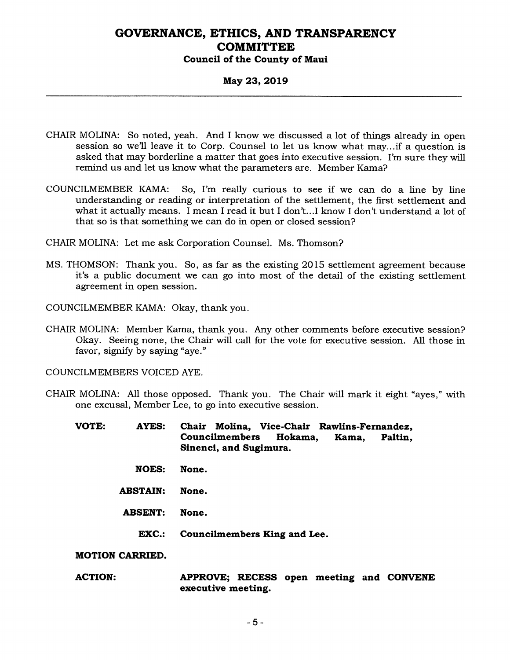#### **May 23, 2019**

- CHAIR MOLINA: So noted, yeah. And I know we discussed a lot of things already in open session so well leave it to Corp. Counsel to let us know what may...if a question is asked that may borderline a matter that goes into executive session. I'm sure they will remind us and let us know what the parameters are. Member Kama?
- COUNCILMEMBER KAMA: So, I'm really curious to see if we can do a line by line understanding or reading or interpretation of the settlement, the first settlement and what it actually means. I mean I read it but I don't...I know I don't understand a lot of that so is that something we can do in open or closed session?
- CHAIR MOLINA: Let me ask Corporation Counsel. Ms. Thomson?
- MS. THOMSON: Thank you. So, as far as the existing 2015 settlement agreement because it's a public document we can go into most of the detail of the existing settlement agreement in open session.
- COUNCILMEMBER KAMA: Okay, thank you.
- CHAIR MOLINA: Member Kama, thank you. Any other comments before executive session? Okay. Seeing none, the Chair will call for the vote for executive session. All those in favor, signify by saying "aye."

COUNCILMEMBERS VOICED AYE.

- CHAIR MOLINA: All those opposed. Thank you. The Chair will mark it eight "ayes," with one excusal, Member Lee, to go into executive session.
	- **VOTE: AYES: Chair Molina, Vice-Chair Rawlins-Fernandez, Councilmembers Hokama, Kama, Paltin, Sinenci, and Sugimura.** 
		- **NOES: None.**
		- **ABSTAIN: None.**
		- **ABSENT: None.** 
			- **EXC.: Councilmembers King and Lee.**

**MOTION CARRIED.** 

**ACTION: APPROVE; RECESS open meeting and CONVENE executive meeting.**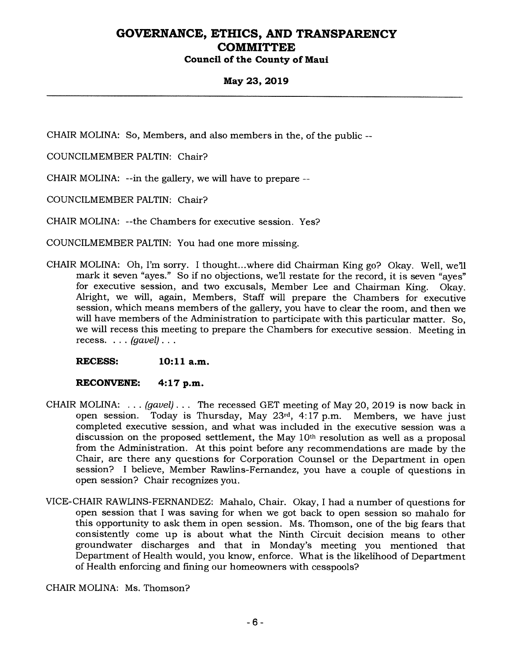### **May 23, 2019**

CHAIR MOLINA: So, Members, and also members in the, of the public --

COUNCILMEMBER PALTIN: Chair?

CHAIR MOLINA: --in the gallery, we will have to prepare --

COUNCILMEMBER PALTIN: Chair?

CHAIR MOLINA: --the Chambers for executive session. Yes?

COUNCILMEMBER PALTIN: You had one more missing.

CHAIR MOLINA: Oh, I'm sorry. I thought...where did Chairman King go? Okay. Well, we'll mark it seven "ayes." So if no objections, we'll restate for the record, it is seven "ayes" for executive session, and two excusals, Member Lee and Chairman King. Okay. Alright, we will, again, Members, Staff will prepare the Chambers for executive session, which means members of the gallery, you have to clear the room, and then we will have members of the Administration to participate with this particular matter. So, we will recess this meeting to prepare the Chambers for executive session. Meeting in recess. . . . *(gavel) . . .* 

**RECESS: 10:11 a.m.** 

#### **RECONVENE: 4:17 p.m.**

- CHAIR MOLINA: . . . *(gavel) . . .* The recessed GET meeting of May 20, 2019 is now back in open session. Today is Thursday, May 23rd, 4:17 p.m. Members, we have just completed executive session, and what was included in the executive session was a discussion on the proposed settlement, the May 10th resolution as well as a proposal from the Administration. At this point before any recommendations are made by the Chair, are there any questions for Corporation Counsel or the Department in open session? I believe, Member Rawlins-Fernandez, you have a couple of questions in open session? Chair recognizes you.
- VICE-CHAIR RAWLINS-FERNANDEZ: Mahalo, Chair. Okay, I had a number of questions for open session that I was saving for when we got back to open session so mahalo for this opportunity to ask them in open session. Ms. Thomson, one of the big fears that consistently come up is about what the Ninth Circuit decision means to other groundwater discharges and that in Monday's meeting you mentioned that Department of Health would, you know, enforce. What is the likelihood of Department of Health enforcing and fining our homeowners with cesspools?

CHAIR MOLINA: Ms. Thomson?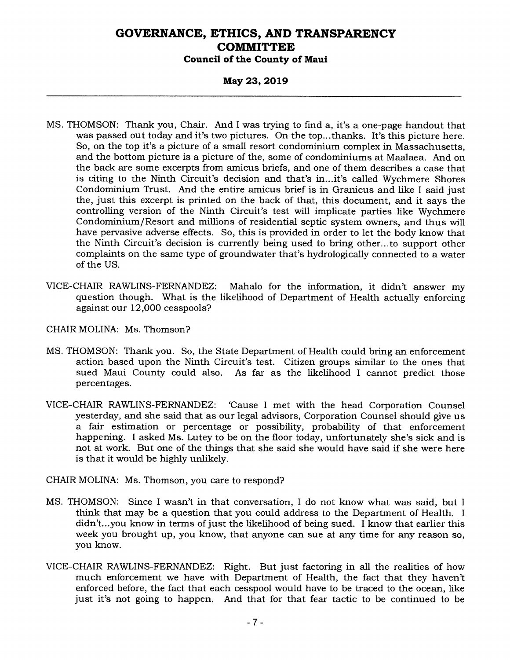#### **May 23, 2019**

- MS. THOMSON: Thank you, Chair. And I was trying to find a, it's a one-page handout that was passed out today and it's two pictures. On the top...thanks. It's this picture here. So, on the top it's a picture of a small resort condominium complex in Massachusetts, and the bottom picture is a picture of the, some of condominiums at Maalaea. And on the back are some excerpts from amicus briefs, and one of them describes a case that is citing to the Ninth Circuit's decision and that's in...it's called Wychmere Shores Condominium Trust. And the entire amicus brief is in Granicus and like I said just the, just this excerpt is printed on the back of that, this document, and it says the controlling version of the Ninth Circuit's test will implicate parties like Wychmere Condominium/Resort and millions of residential septic system owners, and thus will have pervasive adverse effects. So, this is provided in order to let the body know that the Ninth Circuit's decision is currently being used to bring other...to support other complaints on the same type of groundwater that's hydrologically connected to a water of the US.
- VICE-CHAIR RAWLINS-FERNANDEZ: Mahalo for the information, it didn't answer my question though. What is the likelihood of Department of Health actually enforcing against our 12,000 cesspools?
- CHAIR MOLINA: Ms. Thomson?
- MS. THOMSON: Thank you. So, the State Department of Health could bring an enforcement action based upon the Ninth Circuit's test. Citizen groups similar to the ones that As far as the likelihood I cannot predict those percentages.
- VICE-CHAIR RAWLINS-FERNANDEZ: 'Cause I met with the head Corporation Counsel yesterday, and she said that as our legal advisors, Corporation Counsel should give us a fair estimation or percentage or possibility, probability of that enforcement happening. I asked Ms. Lutey to be on the floor today, unfortunately she's sick and is not at work. But one of the things that she said she would have said if she were here is that it would be highly unlikely.

CHAIR MOLINA: Ms. Thomson, you care to respond?

- MS. THOMSON: Since I wasn't in that conversation, I do not know what was said, but I think that may be a question that you could address to the Department of Health. I didn't...you know in terms of just the likelihood of being sued. I know that earlier this week you brought up, you know, that anyone can sue at any time for any reason so, you know.
- VICE-CHAIR RAWLINS-FERNANDEZ: Right. But just factoring in all the realities of how much enforcement we have with Department of Health, the fact that they haven't enforced before, the fact that each cesspool would have to be traced to the ocean, like just it's not going to happen. And that for that fear tactic to be continued to be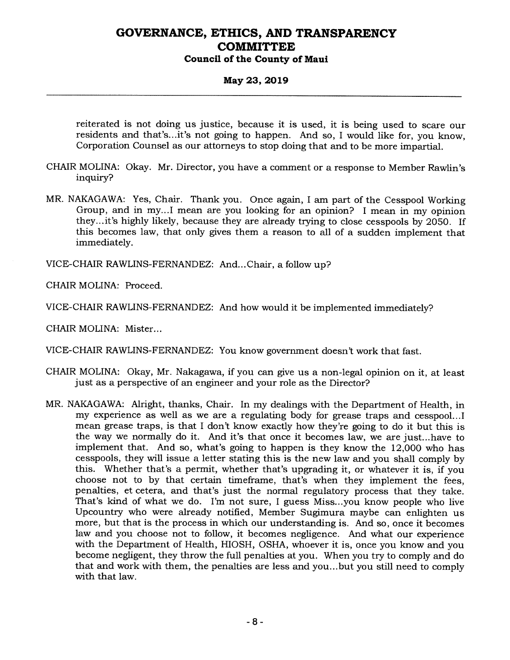### **May 23, 2019**

reiterated is not doing us justice, because it is used, it is being used to scare our residents and that's...it's not going to happen. And so, I would like for, you know, Corporation Counsel as our attorneys to stop doing that and to be more impartial.

- CHAIR MOLINA: Okay. Mr. Director, you have a comment or a response to Member Rawlin's inquiry?
- MR. NAKAGAWA: Yes, Chair. Thank you. Once again, I am part of the Cesspool Working Group, and in my...I mean are you looking for an opinion? I mean in my opinion they...it's highly likely, because they are already trying to close cesspools by 2050. If this becomes law, that only gives them a reason to all of a sudden implement that immediately.

VICE-CHAIR RAWLINS-FERNANDEZ: And... Chair, a follow up?

CHAIR MOLINA: Proceed.

VICE-CHAIR RAWLINS-FERNANDEZ: And how would it be implemented immediately?

CHAIR MOLINA: Mister...

VICE-CHAIR RAWLINS-FERNANDEZ: You know government doesn't work that fast.

- CHAIR MOLINA: Okay, Mr. Nakagawa, if you can give us a non-legal opinion on it, at least just as a perspective of an engineer and your role as the Director?
- MR. NAKAGAWA: Alright, thanks, Chair. In my dealings with the Department of Health, in my experience as well as we are a regulating body for grease traps and cesspool...I mean grease traps, is that I don't know exactly how they're going to do it but this is the way we normally do it. And it's that once it becomes law, we are just...have to implement that. And so, what's going to happen is they know the 12,000 who has cesspools, they will issue a letter stating this is the new law and you shall comply by this. Whether that's a permit, whether that's upgrading it, or whatever it is, if you choose not to by that certain timeframe, that's when they implement the fees, penalties, et cetera, and that's just the normal regulatory process that they take. That's kind of what we do. I'm not sure, I guess Miss...you know people who live Upcountry who were already notified, Member Sugimura maybe can enlighten us more, but that is the process in which our understanding is. And so, once it becomes law and you choose not to follow, it becomes negligence. And what our experience with the Department of Health, HIOSH, OSHA, whoever it is, once you know and you become negligent, they throw the full penalties at you. When you try to comply and do that and work with them, the penalties are less and you...but you still need to comply with that law.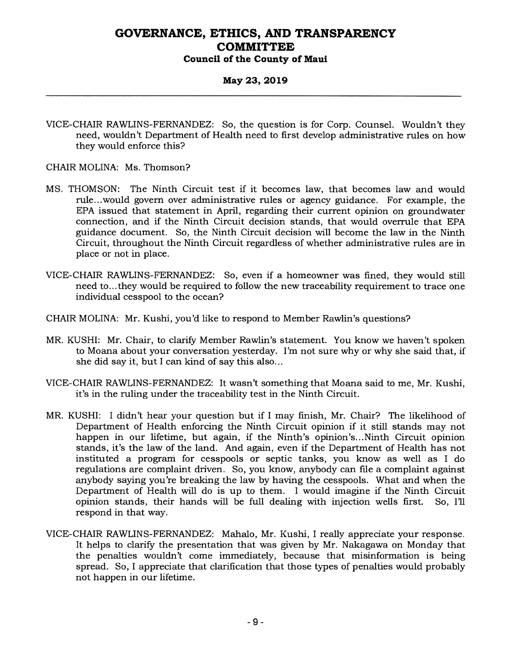#### **May 23, 2019**

VICE-CHAIR RAWLINS-FERNANDEZ: So, the question is for Corp. Counsel. Wouldn't they need, wouldn't Department of Health need to first develop administrative rules on how they would enforce this?

CHAIR MOLINA: Ms. Thomson?

- MS. THOMSON: The Ninth Circuit test if it becomes law, that becomes law and would rule...would govern over administrative rules or agency guidance. For example, the EPA issued that statement in April, regarding their current opinion on groundwater connection, and if the Ninth Circuit decision stands, that would overrule that EPA guidance document. So, the Ninth Circuit decision will become the law in the Ninth Circuit, throughout the Ninth Circuit regardless of whether administrative rules are in place or not in place.
- VICE-CHAIR RAWLINS-FERNANDEZ: So, even if a homeowner was fined, they would still need to...they would be required to follow the new traceability requirement to trace one individual cesspool to the ocean?
- CHAIR MOLINA: Mr. Kushi, you'd like to respond to Member Rawlin's questions?
- MR. KUSHI: Mr. Chair, to clarify Member Rawlin's statement. You know we haven't spoken to Moana about your conversation yesterday. I'm not sure why or why she said that, if she did say it, but I can kind of say this also...
- VICE-CHAIR RAWLINS-FERNANDEZ: It wasn't something that Moana said to me, Mr. Kushi, it's in the ruling under the traceability test in the Ninth Circuit.
- MR. KUSHI: I didn't hear your question but if I may finish, Mr. Chair? The likelihood of Department of Health enforcing the Ninth Circuit opinion if it still stands may not happen in our lifetime, but again, if the Ninth's opinion's... Ninth Circuit opinion stands, it's the law of the land. And again, even if the Department of Health has not instituted a program for cesspools or septic tanks, you know as well as I do regulations are complaint driven. So, you know, anybody can file a complaint against anybody saying you're breaking the law by having the cesspools. What and when the Department of Health will do is up to them. I would imagine if the Ninth Circuit opinion stands, their hands will be full dealing with injection wells first. So, I'll respond in that way.
- VICE-CHAIR RAWLINS-FERNANDEZ: Mahalo, Mr. Kushi, I really appreciate your response. It helps to clarify the presentation that was given by Mr. Nakagawa on Monday that the penalties wouldn't come immediately, because that misinformation is being spread. So, I appreciate that clarification that those types of penalties would probably not happen in our lifetime.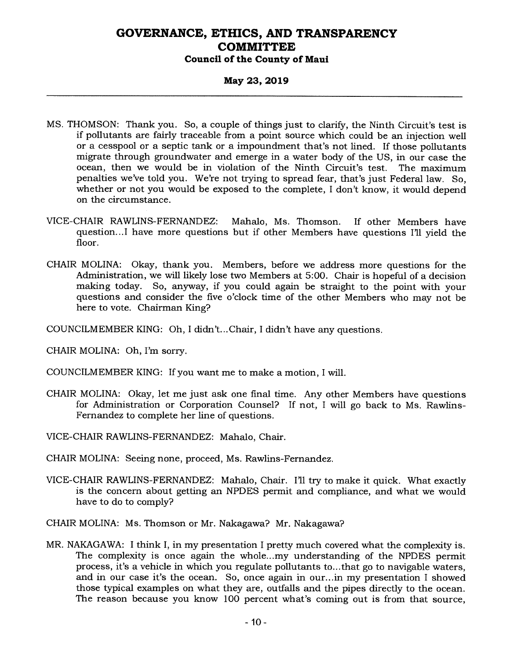### **May 23, 2019**

- MS. THOMSON: Thank you. So, a couple of things just to clarify, the Ninth Circuit's test is if pollutants are fairly traceable from a point source which could be an injection well or a cesspool or a septic tank or a impoundment that's not lined. If those pollutants migrate through groundwater and emerge in a water body of the US, in our case the ocean, then we would be in violation of the Ninth Circuit's test. The maximum penalties we've told you. We're not trying to spread fear, that's just Federal law. So, whether or not you would be exposed to the complete, I don't know, it would depend on the circumstance.
- VICE-CHAIR RAWLINS-FERNANDEZ: Mahalo, Ms. Thomson. If other Members have question...I have more questions but if other Members have questions I'll yield the floor.
- CHAIR MOLINA: Okay, thank you. Members, before we address more questions for the Administration, we will likely lose two Members at 5:00. Chair is hopeful of a decision making today. So, anyway, if you could again be straight to the point with your questions and consider the five o'clock time of the other Members who may not be here to vote. Chairman King?
- COUNCILMEMBER KING: Oh, I didn't... Chair, I didn't have any questions.

CHAIR MOLINA: Oh, I'm sorry.

- COUNCILMEMBER KING: If you want me to make a motion, I will.
- CHAIR MOLINA: Okay, let me just ask one final time. Any other Members have questions for Administration or Corporation Counsel? If not, I will go back to Ms. Rawlins-Fernandez to complete her line of questions.
- VICE-CHAIR RAWLINS-FERNANDEZ: Mahalo, Chair.
- CHAIR MOLINA: Seeing none, proceed, Ms. Rawlins-Fernandez.
- VICE-CHAIR RAWLINS-FERNANDEZ: Mahalo, Chair. I'll try to make it quick. What exactly is the concern about getting an NPDES permit and compliance, and what we would have to do to comply?
- CHAIR MOLINA: Ms. Thomson or Mr. Nakagawa? Mr. Nakagawa?
- MR. NAKAGAWA: I think I, in my presentation I pretty much covered what the complexity is. The complexity is once again the whole...my understanding of the NPDES permit process, it's a vehicle in which you regulate pollutants to...that go to navigable waters, and in our case it's the ocean. So, once again in our...in my presentation I showed those typical examples on what they are, outfalls and the pipes directly to the ocean. The reason because you know 100 percent what's coming out is from that source,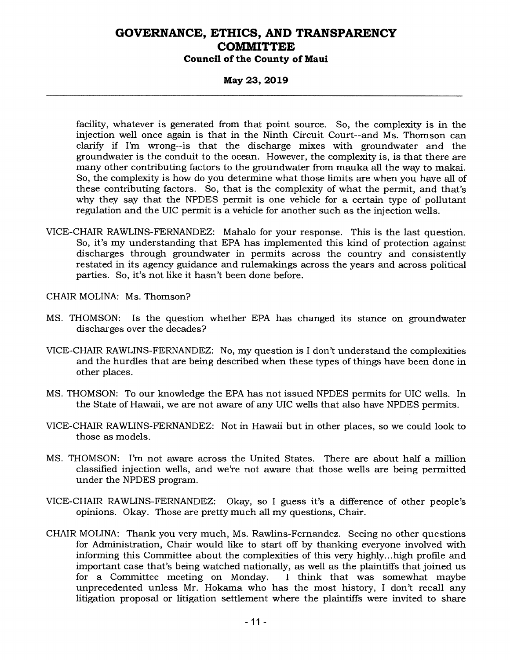### **May 23, 2019**

facility, whatever is generated from that point source. So, the complexity is in the injection well once again is that in the Ninth Circuit Court--and Ms. Thomson can clarify if I'm wrong--is that the discharge mixes with groundwater and the groundwater is the conduit to the ocean. However, the complexity is, is that there are many other contributing factors to the groundwater from mauka all the way to makai. So, the complexity is how do you determine what those limits are when you have all of these contributing factors. So, that is the complexity of what the permit, and that's why they say that the NPDES permit is one vehicle for a certain type of pollutant regulation and the UIC permit is a vehicle for another such as the injection wells.

VICE-CHAIR RAWLINS-FERNANDEZ: Mahalo for your response. This is the last question. So, it's my understanding that EPA has implemented this kind of protection against discharges through groundwater in permits across the country and consistently restated in its agency guidance and rulemakings across the years and across political parties. So, it's not like it hasn't been done before.

CHAIR MOLINA: Ms. Thomson?

- MS. THOMSON: Is the question whether EPA has changed its stance on groundwater discharges over the decades?
- VICE-CHAIR RAWLINS-FERNANDEZ: No, my question is I don't understand the complexities and the hurdles that are being described when these types of things have been done in other places.
- MS. THOMSON: To our knowledge the EPA has not issued NPDES permits for UIC wells. In the State of Hawaii, we are not aware of any UIC wells that also have NPDES permits.
- VICE-CHAIR RAWLINS-FERNANDEZ: Not in Hawaii but in other places, so we could look to those as models.
- MS. THOMSON: I'm not aware across the United States. There are about half a million classified injection wells, and we're not aware that those wells are being permitted under the NPDES program.
- VICE-CHAIR RAWLINS-FERNANDEZ: Okay, so I guess it's a difference of other people's opinions. Okay. Those are pretty much all my questions, Chair.
- CHAIR MOLINA: Thank you very much, Ms. Rawlins-Fernandez. Seeing no other questions for Administration, Chair would like to start off by thanking everyone involved with informing this Committee about the complexities of this very highly...high profile and important case that's being watched nationally, as well as the plaintiffs that joined us<br>for a Committee meeting on Monday. I think that was somewhat maybe for a Committee meeting on Monday. unprecedented unless Mr. Hokama who has the most history, I don't recall any litigation proposal or litigation settlement where the plaintiffs were invited to share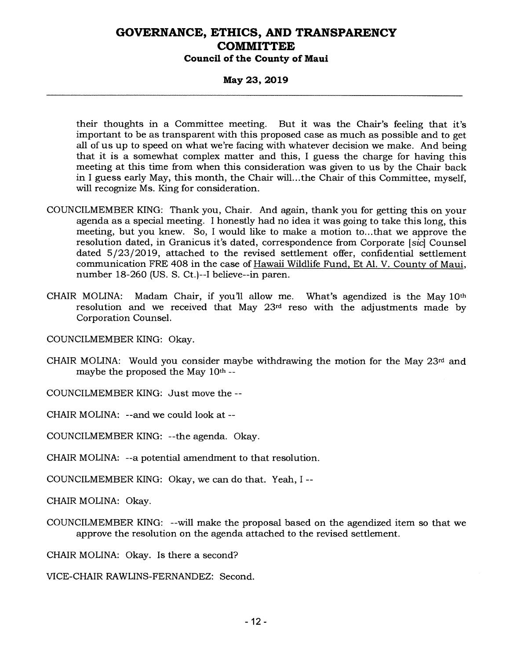### **May 23, 2019**

their thoughts in a Committee meeting. But it was the Chair's feeling that it's important to be as transparent with this proposed case as much as possible and to get all of us up to speed on what we're facing with whatever decision we make. And being that it is a somewhat complex matter and this, I guess the charge for having this meeting at this time from when this consideration was given to us by the Chair back in I guess early May, this month, the Chair will...the Chair of this Committee, myself, will recognize Ms. King for consideration.

- COUNCILMEMBER KING: Thank you, Chair. And again, thank you for getting this on your agenda as a special meeting. I honestly had no idea it was going to take this long, this meeting, but you knew. So, I would like to make a motion to...that we approve the resolution dated, in Granicus it's dated, correspondence from Corporate *[sic]* Counsel dated 5/23/2019, attached to the revised settlement offer, confidential settlement communication FRE 408 in the case of Hawaii Wildlife Fund, Et Al. V. County of Maui, number 18-260 (US. S. Ct.)--I believe--in paren.
- CHAIR MOLINA: Madam Chair, if you'll allow me. What's agendized is the May  $10<sup>th</sup>$ resolution and we received that May 23rd reso with the adjustments made by Corporation Counsel.

COUNCILMEMBER KING: Okay.

CHAIR MOLINA: Would you consider maybe withdrawing the motion for the May  $23<sup>rd</sup>$  and maybe the proposed the May 10th --

COUNCILMEMBER KING: Just move the --

CHAIR MOLINA: --and we could look at --

COUNCILMEMBER KING: --the agenda. Okay.

CHAIR MOLINA: --a potential amendment to that resolution.

COUNCILMEMBER KING: Okay, we can do that. Yeah, I --

CHAIR MOLINA: Okay.

COUNCILMEMBER KING: --will make the proposal based on the agendized item so that we approve the resolution on the agenda attached to the revised settlement.

CHAIR MOLINA: Okay. Is there a second?

VICE-CHAIR RAWLINS-FERNANDEZ: Second.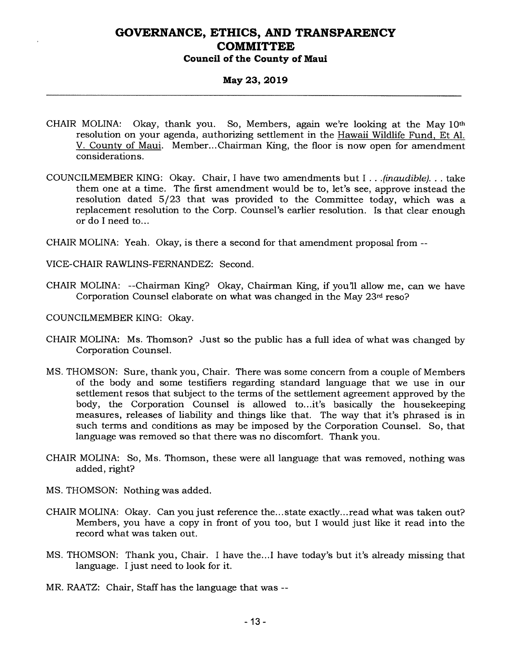### **May 23, 2019**

- CHAIR MOLINA: Okay, thank you. So, Members, again we're looking at the May 10th resolution on your agenda, authorizing settlement in the Hawaii Wildlife Fund, Et Al. V. County of Maui. Member... Chairman King, the floor is now open for amendment considerations.
- COUNCILMEMBER KING: Okay. Chair, I have two amendments but I . . *.(inaudible). . .* take them one at a time. The first amendment would be to, let's see, approve instead the resolution dated 5/23 that was provided to the Committee today, which was a replacement resolution to the Corp. Counsel's earlier resolution. Is that clear enough or do I need to...
- CHAIR MOLINA: Yeah. Okay, is there a second for that amendment proposal from --
- VICE-CHAIR RAWLINS-FERNANDEZ: Second.
- CHAIR MOLINA: --Chairman King? Okay, Chairman King, if you'll allow me, can we have Corporation Counsel elaborate on what was changed in the May 23rd reso?
- COUNCILMEMBER KING: Okay.
- CHAIR MOLINA: Ms. Thomson? Just so the public has a full idea of what was changed by Corporation Counsel.
- MS. THOMSON: Sure, thank you, Chair. There was some concern from a couple of Members of the body and some testifiers regarding standard language that we use in our settlement resos that subject to the terms of the settlement agreement approved by the body, the Corporation Counsel is allowed to...it's basically the housekeeping measures, releases of liability and things like that. The way that it's phrased is in such terms and conditions as may be imposed by the Corporation Counsel. So, that language was removed so that there was no discomfort. Thank you.
- CHAIR MOLINA: So, Ms. Thomson, these were all language that was removed, nothing was added, right?
- MS. THOMSON: Nothing was added.
- CHAIR MOLINA: Okay. Can you just reference the...state exactly...read what was taken out? Members, you have a copy in front of you too, but I would just like it read into the record what was taken out.
- MS. THOMSON: Thank you, Chair. I have the...I have today's but it's already missing that language. I just need to look for it.
- MR. RAATZ: Chair, Staff has the language that was --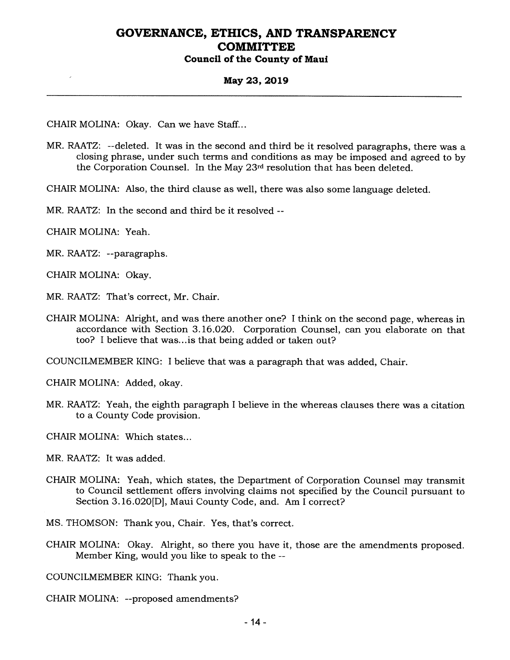#### **May 23, 2019**

CHAIR MOLINA: Okay. Can we have Staff...

MR. RAATZ: --deleted. It was in the second and third be it resolved paragraphs, there was a closing phrase, under such terms and conditions as may be imposed and agreed to by the Corporation Counsel. In the May 23rd resolution that has been deleted.

CHAIR MOLINA: Also, the third clause as well, there was also some language deleted.

MR. RAATZ: In the second and third be it resolved --

CHAIR MOLINA: Yeah.

MR. RAATZ: --paragraphs.

CHAIR MOLINA: Okay.

MR. RAATZ: That's correct, Mr. Chair.

CHAIR MOLINA: Alright, and was there another one? I think on the second page, whereas in accordance with Section 3.16.020. Corporation Counsel, can you elaborate on that too? I believe that was...is that being added or taken out?

COUNCILMEMBER KING: I believe that was a paragraph that was added, Chair.

CHAIR MOLINA: Added, okay.

MR. RAATZ: Yeah, the eighth paragraph I believe in the whereas clauses there was a citation to a County Code provision.

CHAIR MOLINA: Which states...

MR. RAATZ: It was added.

CHAIR MOLINA: Yeah, which states, the Department of Corporation Counsel may transmit to Council settlement offers involving claims not specified by the Council pursuant to Section 3.16.020[D], Maui County Code, and. Am I correct?

MS. THOMSON: Thank you, Chair. Yes, that's correct.

CHAIR MOLINA: Okay. Alright, so there you have it, those are the amendments proposed. Member King, would you like to speak to the --

COUNCILMEMBER KING: Thank you.

CHAIR MOLINA: --proposed amendments?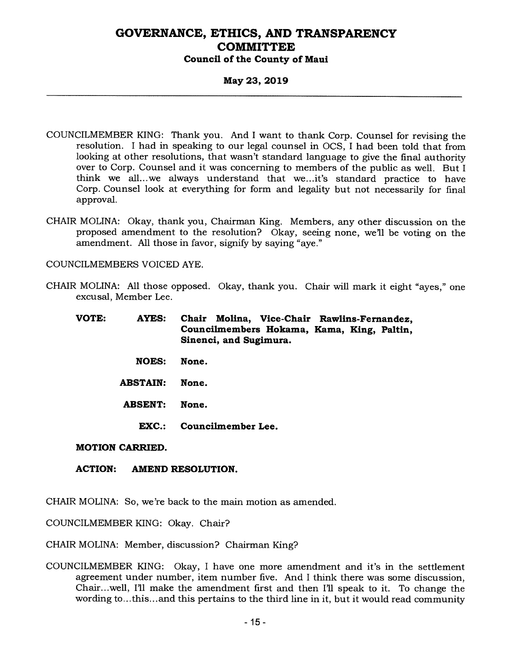### **May 23, 2019**

- COUNCILMEMBER KING: Thank you. And I want to thank Corp. Counsel for revising the resolution. I had in speaking to our legal counsel in OCS, I had been told that from looking at other resolutions, that wasn't standard language to give the final authority over to Corp. Counsel and it was concerning to members of the public as well. But I think we all...we always understand that we...it's standard practice to have Corp. Counsel look at everything for form and legality but not necessarily for final approval.
- CHAIR MOLINA: Okay, thank you, Chairman King. Members, any other discussion on the proposed amendment to the resolution? Okay, seeing none, we'll be voting on the amendment. All those in favor, signify by saying "aye."

COUNCILMEMBERS VOICED AYE.

CHAIR MOLINA: All those opposed. Okay, thank you. Chair will mark it eight "ayes," one excusal, Member Lee.

| <b>VOTE:</b> | <b>AYES:</b> |                        |  |                                            | Chair Molina, Vice-Chair Rawlins-Fernandez, |  |  |
|--------------|--------------|------------------------|--|--------------------------------------------|---------------------------------------------|--|--|
|              |              |                        |  | Councilmembers Hokama, Kama, King, Paltin, |                                             |  |  |
|              |              | Sinenci, and Sugimura. |  |                                            |                                             |  |  |

- **NOES: None.**
- **ABSTAIN: None.**
- **ABSENT: None.** 
	- **EXC.: Councilmember Lee.**

#### **MOTION CARRIED.**

#### **ACTION: AMEND RESOLUTION.**

CHAIR MOLINA: So, we're back to the main motion as amended.

COUNCILMEMBER KING: Okay. Chair?

CHAIR MOLINA: Member, discussion? Chairman King?

COUNCILMEMBER KING: Okay, I have one more amendment and it's in the settlement agreement under number, item number five. And I think there was some discussion, Chair...well, I'll make the amendment first and then I'll speak to it. To change the wording to...this...and this pertains to the third line in it, but it would read community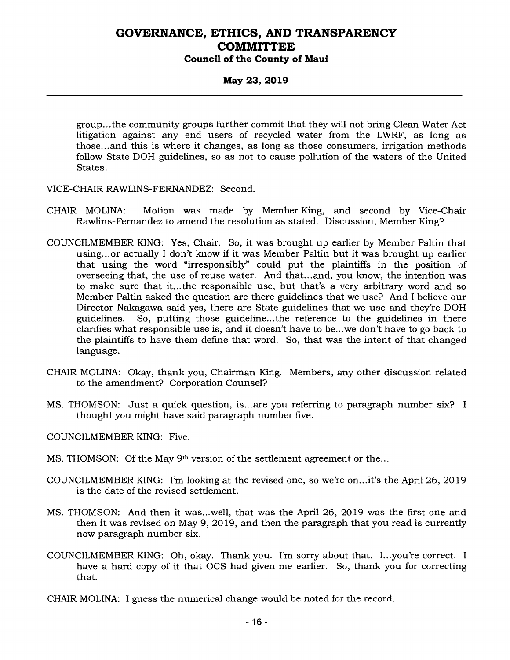### **May 23, 2019**

group...the community groups further commit that they will not bring Clean Water Act litigation against any end users of recycled water from the LWRF, as long as those...and this is where it changes, as long as those consumers, irrigation methods follow State DOH guidelines, so as not to cause pollution of the waters of the United States.

- VICE-CHAIR RAWLINS-FERNANDEZ: Second.
- CHAIR MOLINA: Motion was made by Member King, and second by Vice-Chair Rawlins-Fernandez to amend the resolution as stated. Discussion, Member King?
- COUNCILMEMBER KING: Yes, Chair. So, it was brought up earlier by Member Paltin that using...or actually I don't know if it was Member Paltin but it was brought up earlier that using the word "irresponsibly" could put the plaintiffs in the position of overseeing that, the use of reuse water. And that...and, you know, the intention was to make sure that it...the responsible use, but that's a very arbitrary word and so Member Paltin asked the question are there guidelines that we use? And I believe our Director Nakagawa said yes, there are State guidelines that we use and they're DOH guidelines. So, putting those guideline...the reference to the guidelines in there clarifies what responsible use is, and it doesn't have to be...we don't have to go back to the plaintiffs to have them define that word. So, that was the intent of that changed language.
- CHAIR MOLINA: Okay, thank you, Chairman King. Members, any other discussion related to the amendment? Corporation Counsel?
- MS. THOMSON: Just a quick question, is...are you referring to paragraph number six? I thought you might have said paragraph number five.

COUNCILMEMBER KING: Five.

- MS. THOMSON: Of the May 9th version of the settlement agreement or the...
- COUNCILMEMBER KING: I'm looking at the revised one, so we're on...it's the April 26, 2019 is the date of the revised settlement.
- MS. THOMSON: And then it was...well, that was the April 26, 2019 was the first one and then it was revised on May 9, 2019, and then the paragraph that you read is currently now paragraph number six.
- COUNCILMEMBER KING: Oh, okay. Thank you. I'm sorry about that. I...you're correct. I have a hard copy of it that OCS had given me earlier. So, thank you for correcting that.
- CHAIR MOLINA: I guess the numerical change would be noted for the record.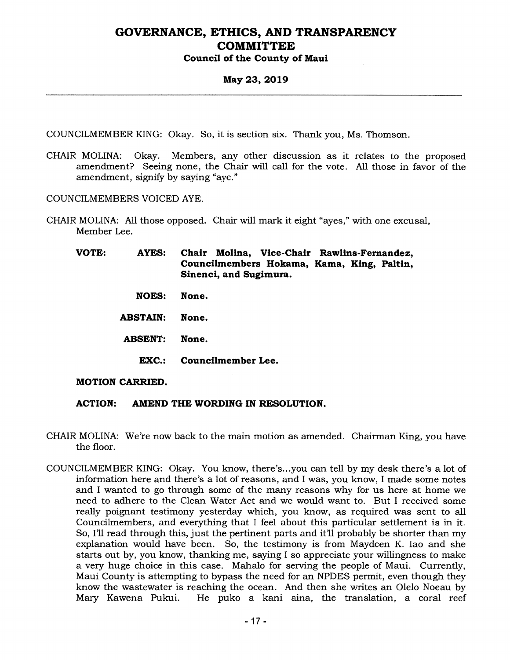### **May 23, 2019**

COUNCILMEMBER KING: Okay. So, it is section six. Thank you, Ms. Thomson.

CHAIR MOLINA: Okay. Members, any other discussion as it relates to the proposed amendment? Seeing none, the Chair will call for the vote. All those in favor of the amendment, signify by saying "aye."

COUNCILMEMBERS VOICED AYE.

CHAIR MOLINA: All those opposed. Chair will mark it eight "ayes," with one excusal, Member Lee.

**VOTE: AYES: Chair Molina, Vice-Chair Rawlins-Fernandez, Councilmembers Hokama, Kama, King, Paltin, Sinenci, and Sugimura.** 

- **NOES: None.**
- **ABSTAIN: None.**
- **ABSENT: None.** 
	- **EXC.: Councilmember Lee.**

#### **MOTION CARRIED.**

- **ACTION: AMEND THE WORDING IN RESOLUTION.**
- CHAIR MOLINA: We're now back to the main motion as amended. Chairman King, you have the floor.
- COUNCILMEMBER KING: Okay. You know, there's...you can tell by my desk there's a lot of information here and there's a lot of reasons, and I was, you know, I made some notes and I wanted to go through some of the many reasons why for us here at home we need to adhere to the Clean Water Act and we would want to. But I received some really poignant testimony yesterday which, you know, as required was sent to all Councilmembers, and everything that I feel about this particular settlement is in it. So, I'll read through this, just the pertinent parts and it'll probably be shorter than my explanation would have been. So, the testimony is from Maydeen K. Iao and she starts out by, you know, thanking me, saying I so appreciate your willingness to make a very huge choice in this case. Mahalo for serving the people of Maui. Currently, Maui County is attempting to bypass the need for an NPDES permit, even though they know the wastewater is reaching the ocean. And then she writes an Olelo Noeau by Mary Kawena Pukui. He puko a kani aina, the translation, a coral reef He puko a kani aina, the translation, a coral reef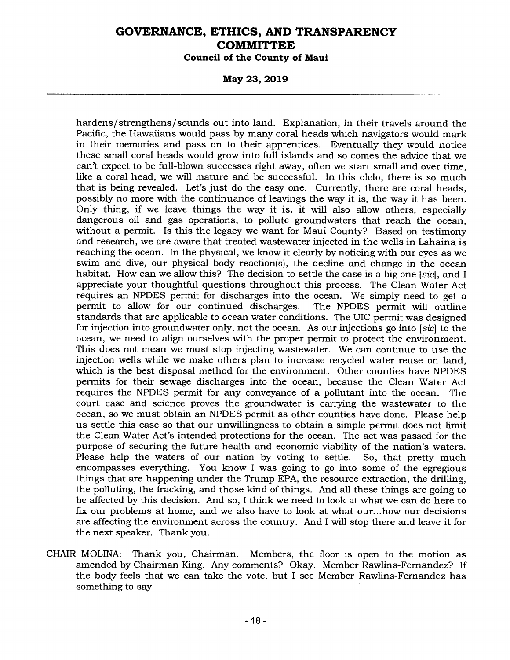**May 23, 2019** 

hardens/strengthens/sounds out into land. Explanation, in their travels around the Pacific, the Hawaiians would pass by many coral heads which navigators would mark in their memories and pass on to their apprentices. Eventually they would notice these small coral heads would grow into full islands and so comes the advice that we can't expect to be full-blown successes right away, often we start small and over time, like a coral head, we will mature and be successful. In this olelo, there is so much that is being revealed. Let's just do the easy one. Currently, there are coral heads, possibly no more with the continuance of leavings the way it is, the way it has been. Only thing, if we leave things the way it is, it will also allow others, especially dangerous oil and gas operations, to pollute groundwaters that reach the ocean, without a permit. Is this the legacy we want for Maui County? Based on testimony and research, we are aware that treated wastewater injected in the wells in Lahaina is reaching the ocean. In the physical, we know it clearly by noticing with our eyes as we swim and dive, our physical body reaction(s), the decline and change in the ocean habitat. How can we allow this? The decision to settle the case is a big one *[sic],* and I appreciate your thoughtful questions throughout this process. The Clean Water Act requires an NPDES permit for discharges into the ocean. We simply need to get a permit to allow for our continued discharges. The NPDES permit will outline standards that are applicable to ocean water conditions. The UIC permit was designed for injection into groundwater only, not the ocean. As our injections go into *[sic]* to the ocean, we need to align ourselves with the proper permit to protect the environment. This does not mean we must stop injecting wastewater. We can continue to use the injection wells while we make others plan to increase recycled water reuse on land, which is the best disposal method for the environment. Other counties have NPDES permits for their sewage discharges into the ocean, because the Clean Water Act requires the NPDES permit for any conveyance of a pollutant into the ocean. The court case and science proves the groundwater is carrying the wastewater to the ocean, so we must obtain an NPDES permit as other counties have done. Please help us settle this case so that our unwillingness to obtain a simple permit does not limit the Clean Water Act's intended protections for the ocean. The act was passed for the purpose of securing the future health and economic viability of the nation's waters. Please help the waters of our nation by voting to settle. So, that pretty much encompasses everything. You know I was going to go into some of the egregious things that are happening under the Trump EPA, the resource extraction, the drilling, the polluting, the fracking, and those kind of things. And all these things are going to be affected by this decision. And so, I think we need to look at what we can do here to fix our problems at home, and we also have to look at what our...how our decisions are affecting the environment across the country. And I will stop there and leave it for the next speaker. Thank you.

CHAIR MOLINA: Thank you, Chairman. Members, the floor is open to the motion as amended by Chairman King. Any comments? Okay. Member Rawlins-Fernandez? If the body feels that we can take the vote, but I see Member Rawlins-Fernandez has something to say.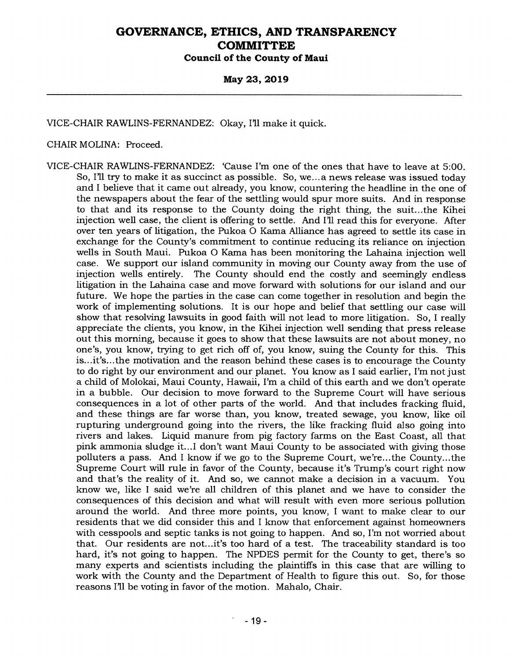### **May 23, 2019**

VICE-CHAIR RAWLINS-FERNANDEZ: Okay, I'll make it quick.

#### CHAIR MOLINA: Proceed.

VICE-CHAIR RAWLINS-FERNANDEZ: 'Cause I'm one of the ones that have to leave at 5:00. So, I'll try to make it as succinct as possible. So, we... a news release was issued today and I believe that it came out already, you know, countering the headline in the one of the newspapers about the fear of the settling would spur more suits. And in response to that and its response to the County doing the right thing, the suit...the Kihei injection well case, the client is offering to settle. And I'll read this for everyone. After over ten years of litigation, the Pukoa 0 Kama Alliance has agreed to settle its case in exchange for the County's commitment to continue reducing its reliance on injection wells in South Maui. Pukoa 0 Kama has been monitoring the Lahaina injection well case. We support our island community in moving our County away from the use of The County should end the costly and seemingly endless litigation in the Lahaina case and move forward with solutions for our island and our future. We hope the parties in the case can come together in resolution and begin the work of implementing solutions. It is our hope and belief that settling our case will show that resolving lawsuits in good faith will not lead to more litigation. So, I really appreciate the clients, you know, in the Kihei injection well sending that press release out this morning, because it goes to show that these lawsuits are not about money, no one's, you know, trying to get rich off of, you know, suing the County for this. This is...it's...the motivation and the reason behind these cases is to encourage the County to do right by our environment and our planet. You know as I said earlier, I'm not just a child of Molokai, Maui County, Hawaii, I'm a child of this earth and we don't operate in a bubble. Our decision to move forward to the Supreme Court will have serious consequences in a lot of other parts of the world. And that includes fracking fluid, and these things are far worse than, you know, treated sewage, you know, like oil rupturing underground going into the rivers, the like fracking fluid also going into rivers and lakes. Liquid manure from pig factory farms on the East Coast, all that pink ammonia sludge it...I don't want Maui County to be associated with giving those polluters a pass. And I know if we go to the Supreme Court, we're...the County...the Supreme Court will rule in favor of the County, because it's Trump's court right now and that's the reality of it. And so, we cannot make a decision in a vacuum. You know we, like I said we're all children of this planet and we have to consider the consequences of this decision and what will result with even more serious pollution around the world. And three more points, you know, I want to make clear to our residents that we did consider this and I know that enforcement against homeowners with cesspools and septic tanks is not going to happen. And so, I'm not worried about that. Our residents are not...it's too hard of a test. The traceability standard is too hard, it's not going to happen. The NPDES permit for the County to get, there's so many experts and scientists including the plaintiffs in this case that are willing to work with the County and the Department of Health to figure this out. So, for those reasons I'll be voting in favor of the motion. Mahalo, Chair.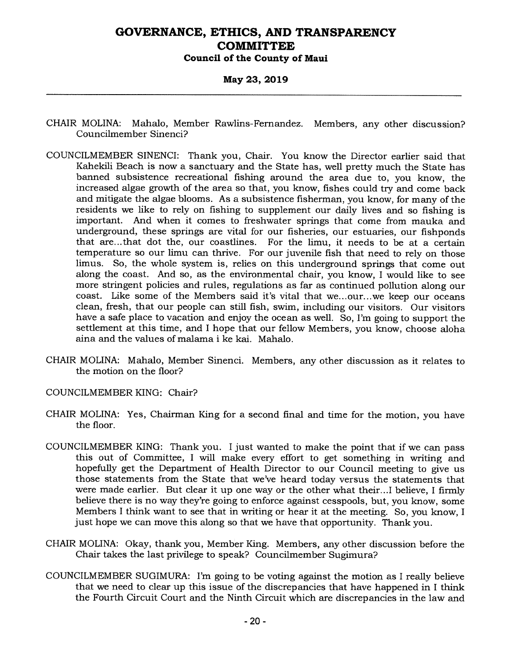**May 23, 2019** 

- CHAIR MOLINA: Mahalo, Member Rawlins-Fernandez. Members, any other discussion? Councilmember Sinenci?
- COUNCILMEMBER SINENCI: Thank you, Chair. You know the Director earlier said that Kahekili Beach is now a sanctuary and the State has, well pretty much the State has banned subsistence recreational fishing around the area due to, you know, the increased algae growth of the area so that, you know, fishes could try and come back and mitigate the algae blooms. As a subsistence fisherman, you know, for many of the residents we like to rely on fishing to supplement our daily lives and so fishing is important. And when it comes to freshwater springs that come from mauka and underground, these springs are vital for our fisheries, our estuaries, our fishponds that are...that dot the, our coastlines. For the limu, it needs to be at a certain temperature so our limu can thrive. For our juvenile fish that need to rely on those limus. So, the whole system is, relies on this underground springs that come out along the coast. And so, as the environmental chair, you know, I would like to see more stringent policies and rules, regulations as far as continued pollution along our coast. Like some of the Members said it's vital that we...our...we keep our oceans clean, fresh, that our people can still fish, swim, including our visitors. Our visitors have a safe place to vacation and enjoy the ocean as well. So, I'm going to support the settlement at this time, and I hope that our fellow Members, you know, choose aloha aina and the values of malama i ke kai. Mahalo.
- CHAIR MOLINA: Mahalo, Member Sinenci. Members, any other discussion as it relates to the motion on the floor?
- COUNCILMEMBER KING: Chair?
- CHAIR MOLINA: Yes, Chairman King for a second final and time for the motion, you have the floor.
- COUNCILMEMBER KING: Thank you. I just wanted to make the point that if we can pass this out of Committee, I will make every effort to get something in writing and hopefully get the Department of Health Director to our Council meeting to give us those statements from the State that we've heard today versus the statements that were made earlier. But clear it up one way or the other what their...I believe, I firmly believe there is no way they're going to enforce against cesspools, but, you know, some Members I think want to see that in writing or hear it at the meeting. So, you know, I just hope we can move this along so that we have that opportunity. Thank you.
- CHAIR MOLINA: Okay, thank you, Member King. Members, any other discussion before the Chair takes the last privilege to speak? Councilmember Sugimura?
- COUNCILMEMBER SUGIMURA: I'm going to be voting against the motion as I really believe that we need to clear up this issue of the discrepancies that have happened in I think the Fourth Circuit Court and the Ninth Circuit which are discrepancies in the law and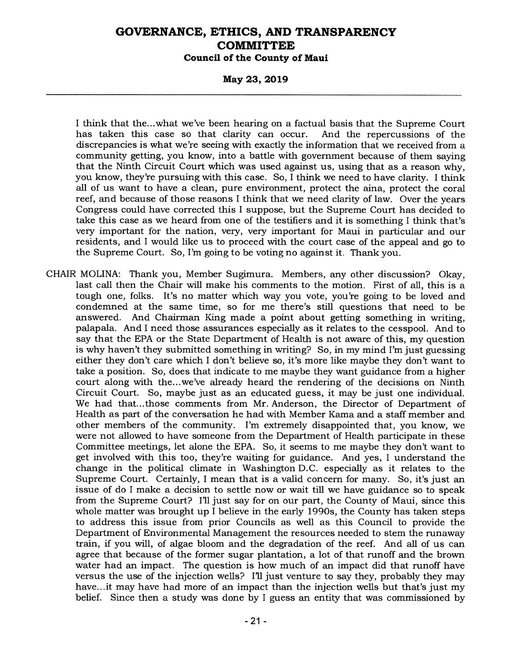**May 23, 2019** 

I think that the...what we've been hearing on a factual basis that the Supreme Court has taken this case so that clarity can occur. And the repercussions of the has taken this case so that clarity can occur. discrepancies is what we're seeing with exactly the information that we received from a community getting, you know, into a battle with government because of them saying that the Ninth Circuit Court which was used against us, using that as a reason why, you know, they're pursuing with this case. So, I think we need to have clarity. I think all of us want to have a clean, pure environment, protect the aina, protect the coral reef, and because of those reasons I think that we need clarity of law. Over the years Congress could have corrected this I suppose, but the Supreme Court has decided to take this case as we heard from one of the testifiers and it is something I think that's very important for the nation, very, very important for Maui in particular and our residents, and I would like us to proceed with the court case of the appeal and go to the Supreme Court. So, I'm going to be voting no against it. Thank you.

CHAIR MOLINA: Thank you, Member Sugimura. Members, any other discussion? Okay, last call then the Chair will make his comments to the motion. First of all, this is a tough one, folks. It's no matter which way you vote, you're going to be loved and condemned at the same time, so for me there's still questions that need to be answered. And Chairman King made a point about getting something in writing, palapala. And I need those assurances especially as it relates to the cesspool. And to say that the EPA or the State Department of Health is not aware of this, my question is why haven't they submitted something in writing? So, in my mind I'm just guessing either they don't care which I don't believe so, it's more like maybe they don't want to take a position. So, does that indicate to me maybe they want guidance from a higher court along with the...we've already heard the rendering of the decisions on Ninth Circuit Court. So, maybe just as an educated guess, it may be just one individual. We had that...those comments from Mr. Anderson, the Director of Department of Health as part of the conversation he had with Member Kama and a staff member and other members of the community. I'm extremely disappointed that, you know, we were not allowed to have someone from the Department of Health participate in these Committee meetings, let alone the EPA. So, it seems to me maybe they don't want to get involved with this too, they're waiting for guidance. And yes, I understand the change in the political climate in Washington D.C. especially as it relates to the Supreme Court. Certainly, I mean that is a valid concern for many. So, it's just an issue of do I make a decision to settle now or wait till we have guidance so to speak from the Supreme Court? I'll just say for on our part, the County of Maui, since this whole matter was brought up I believe in the early 1990s, the County has taken steps to address this issue from prior Councils as well as this Council to provide the Department of Environmental Management the resources needed to stem the runaway train, if you will, of algae bloom and the degradation of the reef. And all of us can agree that because of the former sugar plantation, a lot of that runoff and the brown water had an impact. The question is how much of an impact did that runoff have versus the use of the injection wells? I'll just venture to say they, probably they may have...it may have had more of an impact than the injection wells but that's just my belief. Since then a study was done by I guess an entity that was commissioned by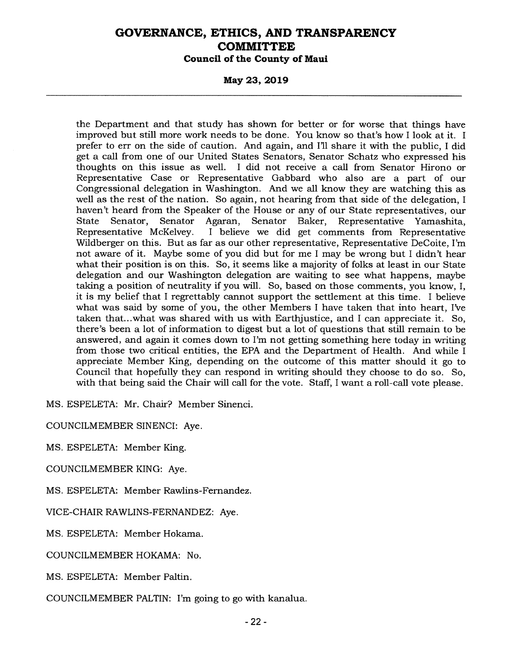**May 23, 2019** 

the Department and that study has shown for better or for worse that things have improved but still more work needs to be done. You know so that's how I look at it. I prefer to err on the side of caution. And again, and I'll share it with the public, I did get a call from one of our United States Senators, Senator Schatz who expressed his thoughts on this issue as well. I did not receive a call from Senator Hirono or Representative Case or Representative Gabbard who also are a part of our Congressional delegation in Washington. And we all know they are watching this as well as the rest of the nation. So again, not hearing from that side of the delegation, I haven't heard from the Speaker of the House or any of our State representatives, our State Senator, Senator Agaran, Senator Baker, Representative Yamashita, State Senator, Senator Agaran, Senator Baker,<br>Representative McKelvey. I believe we did get con I believe we did get comments from Representative Wildberger on this. But as far as our other representative, Representative DeCoite, I'm not aware of it. Maybe some of you did but for me I may be wrong but I didn't hear what their position is on this. So, it seems like a majority of folks at least in our State delegation and our Washington delegation are waiting to see what happens, maybe taking a position of neutrality if you will. So, based on those comments, you know, I, it is my belief that I regrettably cannot support the settlement at this time. I believe what was said by some of you, the other Members I have taken that into heart, I've taken that...what was shared with us with Earthjustice, and I can appreciate it. So, there's been a lot of information to digest but a lot of questions that still remain to be answered, and again it comes down to I'm not getting something here today in writing from those two critical entities, the EPA and the Department of Health. And while I appreciate Member King, depending on the outcome of this matter should it go to Council that hopefully they can respond in writing should they choose to do so. So, with that being said the Chair will call for the vote. Staff, I want a roll-call vote please.

MS. ESPELETA: Mr. Chair? Member Sinenci.

COUNCILMEMBER SINENCI: Aye.

MS. ESPELETA: Member King.

COUNCILMEMBER KING: Aye.

MS. ESPELETA: Member Rawlins-Fernandez.

VICE-CHAIR RAWLINS-FERNANDEZ: Aye.

MS. ESPELETA: Member Hokama.

COUNCILMEMBER HOKAMA: No.

MS. ESPELETA: Member Paltin.

COUNCILMEMBER PALTIN: I'm going to go with kanalua.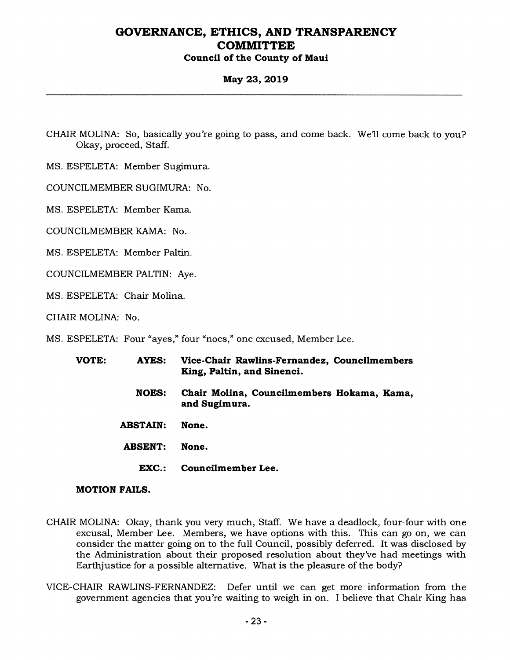### **May 23, 2019**

CHAIR MOLINA: So, basically you're going to pass, and come back. We'll come back to you? Okay, proceed, Staff.

MS. ESPELETA: Member Sugimura.

COUNCILMEMBER SUGIMURA: No.

MS. ESPELETA: Member Kama.

COUNCILMEMBER KAMA: No.

MS. ESPELETA: Member Paltin.

COUNCILMEMBER PALTIN: Aye.

MS. ESPELETA: Chair Molina.

CHAIR MOLINA: No.

MS. ESPELETA: Four "ayes," four "noes," one excused, Member Lee.

| VOTE: | <b>AYES:</b>    | Vice-Chair Rawlins-Fernandez, Councilmembers<br>King, Paltin, and Sinenci. |
|-------|-----------------|----------------------------------------------------------------------------|
|       | <b>NOES:</b>    | Chair Molina, Councilmembers Hokama, Kama,<br>and Sugimura.                |
|       | <b>ABSTAIN:</b> | None.                                                                      |
|       | <b>ABSENT:</b>  | None.                                                                      |
|       | EXC.:           | Councilmember Lee.                                                         |

#### **MOTION FAILS.**

- CHAIR MOLINA: Okay, thank you very much, Staff. We have a deadlock, four-four with one excusal, Member Lee. Members, we have options with this. This can go on, we can consider the matter going on to the full Council, possibly deferred. It was disclosed by the Administration about their proposed resolution about they've had meetings with Earthjustice for a possible alternative. What is the pleasure of the body?
- VICE-CHAIR RAWLINS-FERNANDEZ: Defer until we can get more information from the government agencies that you're waiting to weigh in on. I believe that Chair King has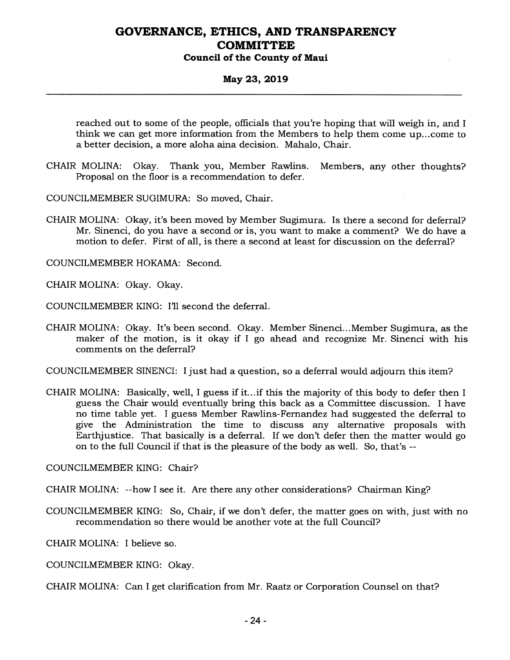### **May 23, 2019**

reached out to some of the people, officials that you're hoping that will weigh in, and I think we can get more information from the Members to help them come up...come to a better decision, a more aloha aina decision. Mahalo, Chair.

CHAIR MOLINA: Okay. Thank you, Member Rawlins. Members, any other thoughts? Proposal on the floor is a recommendation to defer.

COUNCILMEMBER SUGIMURA: So moved, Chair.

CHAIR MOLINA: Okay, it's been moved by Member Sugimura. Is there a second for deferral? Mr. Sinenci, do you have a second or is, you want to make a comment? We do have a motion to defer. First of all, is there a second at least for discussion on the deferral?

COUNCILMEMBER HOKAMA: Second.

CHAIR MOLINA: Okay. Okay.

COUNCILMEMBER KING: I'll second the deferral.

CHAIR MOLINA: Okay. It's been second. Okay. Member Sinenci...Member Sugimura, as the maker of the motion, is it okay if I go ahead and recognize Mr. Sinenci with his comments on the deferral?

COUNCILMEMBER SINENCI: I just had a question, so a deferral would adjourn this item?

CHAIR MOLINA: Basically, well, I guess if it...if this the majority of this body to defer then I guess the Chair would eventually bring this back as a Committee discussion. I have no time table yet. I guess Member Rawlins-Fernandez had suggested the deferral to give the Administration the time to discuss any alternative proposals with Earthjustice. That basically is a deferral. If we don't defer then the matter would go on to the full Council if that is the pleasure of the body as well. So, that's --

COUNCILMEMBER KING: Chair?

CHAIR MOLINA: --how I see it. Are there any other considerations? Chairman King?

COUNCILMEMBER KING: So, Chair, if we don't defer, the matter goes on with, just with no recommendation so there would be another vote at the full Council?

CHAIR MOLINA: I believe so.

COUNCILMEMBER KING: Okay.

CHAIR MOLINA: Can I get clarification from Mr. Raatz or Corporation Counsel on that?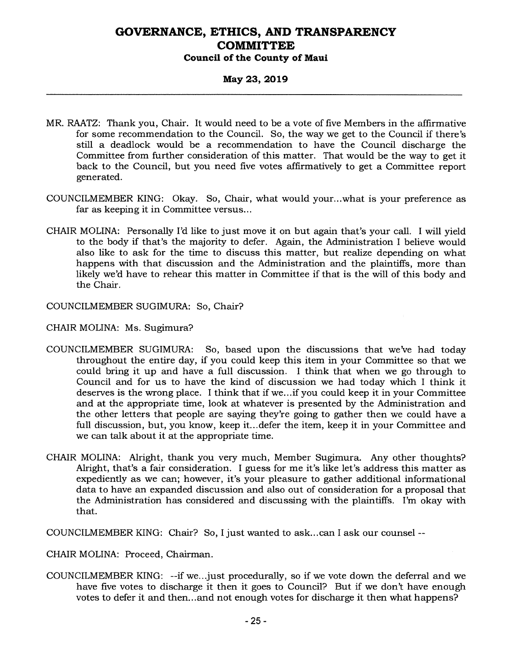### **May 23, 2019**

- MR. RAATZ: Thank you, Chair. It would need to be a vote of five Members in the affirmative for some recommendation to the Council. So, the way we get to the Council if there's still a deadlock would be a recommendation to have the Council discharge the Committee from further consideration of this matter. That would be the way to get it back to the Council, but you need five votes affirmatively to get a Committee report generated.
- COUNCILMEMBER KING: Okay. So, Chair, what would your...what is your preference as far as keeping it in Committee versus...
- CHAIR MOLINA: Personally I'd like to just move it on but again that's your call. I will yield to the body if that's the majority to defer. Again, the Administration I believe would also like to ask for the time to discuss this matter, but realize depending on what happens with that discussion and the Administration and the plaintiffs, more than likely we'd have to rehear this matter in Committee if that is the will of this body and the Chair.

COUNCILMEMBER SUGIMURA: So, Chair?

CHAIR MOLINA: Ms. Sugimura?

- COUNCILMEMBER SUGIMURA: So, based upon the discussions that we've had today throughout the entire day, if you could keep this item in your Committee so that we could bring it up and have a full discussion. I think that when we go through to Council and for us to have the kind of discussion we had today which I think it deserves is the wrong place. I think that if we...if you could keep it in your Committee and at the appropriate time, look at whatever is presented by the Administration and the other letters that people are saying they're going to gather then we could have a full discussion, but, you know, keep it... defer the item, keep it in your Committee and we can talk about it at the appropriate time.
- CHAIR MOLINA: Alright, thank you very much, Member Sugimura. Any other thoughts? Alright, that's a fair consideration. I guess for me it's like let's address this matter as expediently as we can; however, it's your pleasure to gather additional informational data to have an expanded discussion and also out of consideration for a proposal that the Administration has considered and discussing with the plaintiffs. I'm okay with that.

COUNCILMEMBER KING: Chair? So, I just wanted to ask...can I ask our counsel --

CHAIR MOLINA: Proceed, Chairman.

COUNCILMEMBER KING: --if we...just procedurally, so if we vote down the deferral and we have five votes to discharge it then it goes to Council? But if we don't have enough votes to defer it and then...and not enough votes for discharge it then what happens?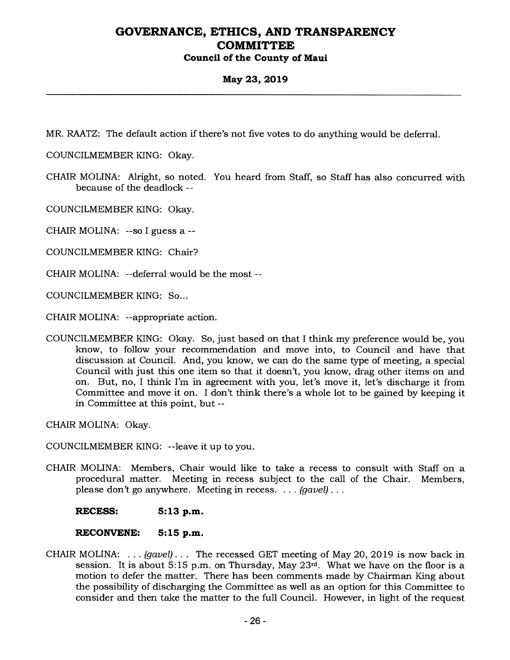### **May 23, 2019**

MR. RAATZ: The default action if there's not five votes to do anything would be deferral.

COUNCILMEMBER KING: Okay.

CHAIR MOLINA: Alright, so noted. You heard from Staff, so Staff has also concurred with because of the deadlock --

COUNCILMEMBER KING: Okay.

CHAIR MOLINA: --so I guess a --

COUNCILMEMBER KING: Chair?

CHAIR MOLINA: --deferral would be the most --

COUNCILMEMBER KING: So...

CHAIR MOLINA: --appropriate action.

COUNCILMEMBER KING: Okay. So, just based on that I think my preference would be, you know, to follow your recommendation and move into, to Council and have that discussion at Council. And, you know, we can do the same type of meeting, a special Council with just this one item so that it doesn't, you know, drag other items on and on. But, no, I think I'm in agreement with you, let's move it, let's discharge it from Committee and move it on. I don't think there's a whole lot to be gained by keeping it in Committee at this point, but --

CHAIR MOLINA: Okay.

COUNCILMEMBER KING: --leave it up to you.

CHAIR MOLINA: Members, Chair would like to take a recess to consult with Staff on a procedural matter. Meeting in recess subject to the call of the Chair. Members, please don't go anywhere. Meeting in recess. . . . *(gavel) . .* 

**RECESS: 5:13 p.m.** 

#### **RECONVENE: 5:15 p.m.**

CHAIR MOLINA: . . . *(gavel) . . .* The recessed GET meeting of May 20, 2019 is now back in session. It is about 5:15 p.m. on Thursday, May 23rd. What we have on the floor is a motion to defer the matter. There has been comments made by Chairman King about the possibility of discharging the Committee as well as an option for this Committee to consider and then take the matter to the full Council. However, in light of the request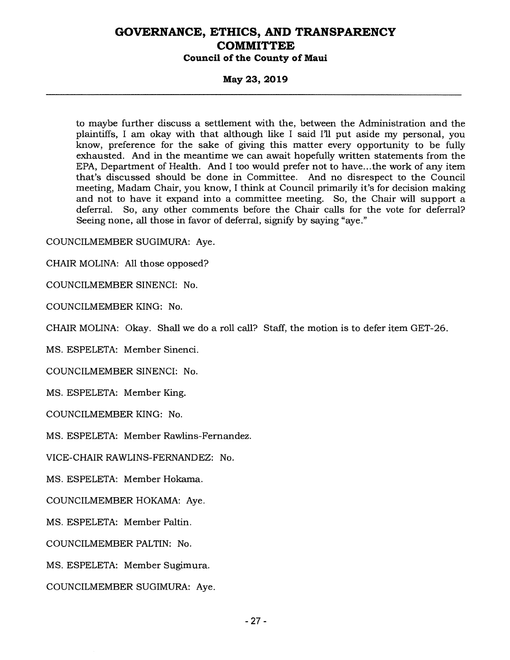#### **May 23, 2019**

to maybe further discuss a settlement with the, between the Administration and the plaintiffs, I am okay with that although like I said I'll put aside my personal, you know, preference for the sake of giving this matter every opportunity to be fully exhausted. And in the meantime we can await hopefully written statements from the EPA, Department of Health. And I too would prefer not to have... the work of any item that's discussed should be done in Committee. And no disrespect to the Council meeting, Madam Chair, you know, I think at Council primarily it's for decision making and not to have it expand into a committee meeting. So, the Chair will support a deferral. So, any other comments before the Chair calls for the vote for deferral? Seeing none, all those in favor of deferral, signify by saying "aye."

COUNCILMEMBER SUGIMURA: Aye.

CHAIR MOLINA: All those opposed?

COUNCILMEMBER SINENCI: No.

COUNCILMEMBER KING: No.

CHAIR MOLINA: Okay. Shall we do a roll call? Staff, the motion is to defer item GET-26.

MS. ESPELETA: Member Sinenci.

COUNCILMEMBER SINENCI: No.

MS. ESPELETA: Member King.

COUNCILMEMBER KING: No.

MS. ESPELETA: Member Rawlins-Fernandez.

VICE-CHAIR RAWLINS-FERNANDEZ: No.

MS. ESPELETA: Member Hokama.

COUNCILMEMBER HOKAMA: Aye.

MS. ESPELETA: Member Paltin.

COUNCILMEMBER PALTIN: No.

MS. ESPELETA: Member Sugimura.

COUNCILMEMBER SUGIMURA: Aye.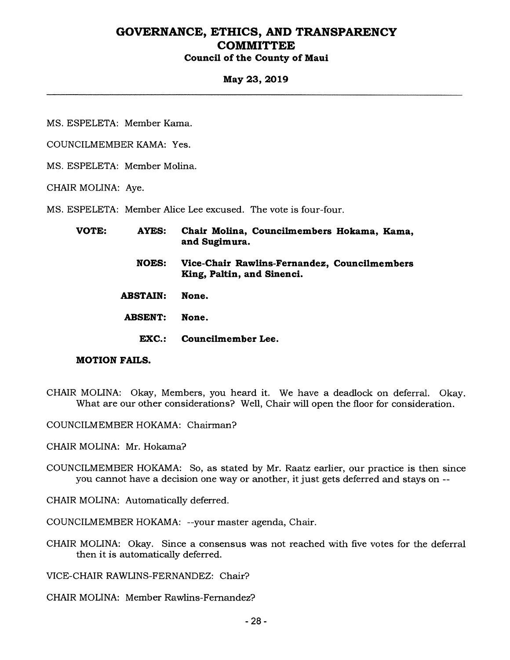### **May 23, 2019**

MS. ESPELETA: Member Kama.

COUNCILMEMBER KAMA: Yes.

MS. ESPELETA: Member Molina.

CHAIR MOLINA: Aye.

MS. ESPELETA: Member Alice Lee excused. The vote is four-four.

| VOTE: | AYES:           | Chair Molina, Councilmembers Hokama, Kama,<br>and Sugimura.                |
|-------|-----------------|----------------------------------------------------------------------------|
|       | <b>NOES:</b>    | Vice-Chair Rawlins-Fernandez, Councilmembers<br>King, Paltin, and Sinenci. |
|       | <b>ABSTAIN:</b> | None.                                                                      |
|       | <b>ABSENT:</b>  | None.                                                                      |
|       | EXC.:           | Councilmember Lee.                                                         |

#### **MOTION FAILS.**

COUNCILMEMBER HOKAMA: Chairman?

CHAIR MOLINA: Mr. Hokama?

COUNCILMEMBER HOKAMA: So, as stated by Mr. Raatz earlier, our practice is then since you cannot have a decision one way or another, it just gets deferred and stays on --

CHAIR MOLINA: Automatically deferred.

COUNCILMEMBER HOKAMA: --your master agenda, Chair.

CHAIR MOLINA: Okay. Since a consensus was not reached with five votes for the deferral then it is automatically deferred.

VICE-CHAIR RAWLINS-FERNANDEZ: Chair?

CHAIR MOLINA: Member Rawlins-Fernandez?

CHAIR MOLINA: Okay, Members, you heard it. We have a deadlock on deferral. Okay. What are our other considerations? Well, Chair will open the floor for consideration.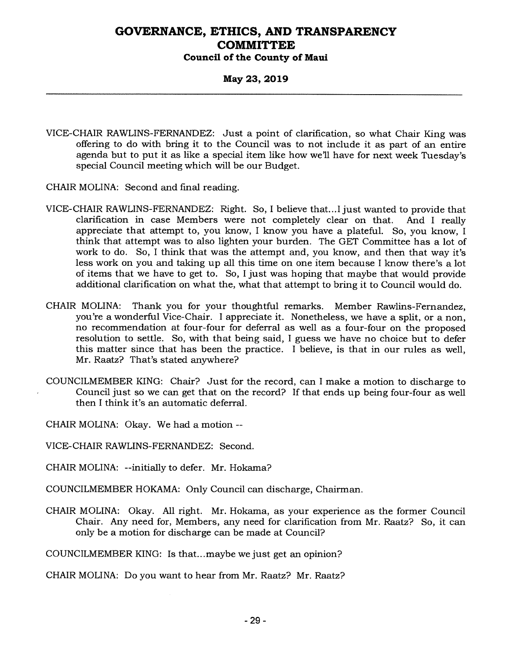### **May 23, 2019**

- VICE-CHAIR RAWLINS-FERNANDEZ: Just a point of clarification, so what Chair King was offering to do with bring it to the Council was to not include it as part of an entire agenda but to put it as like a special item like how we'll have for next week Tuesday's special Council meeting which will be our Budget.
- CHAIR MOLINA: Second and final reading.
- VICE-CHAIR RAWLINS-FERNANDEZ: Right. So, I believe that...I just wanted to provide that clarification in case Members were not completely clear on that. And I really appreciate that attempt to, you know, I know you have a plateful. So, you know, I think that attempt was to also lighten your burden. The GET Committee has a lot of work to do. So, I think that was the attempt and, you know, and then that way it's less work on you and taking up all this time on one item because I know there's a lot of items that we have to get to. So, I just was hoping that maybe that would provide additional clarification on what the, what that attempt to bring it to Council would do.
- CHAIR MOLINA: Thank you for your thoughtful remarks. Member Rawlins-Fernandez, you're a wonderful Vice-Chair. I appreciate it. Nonetheless, we have a split, or a non, no recommendation at four-four for deferral as well as a four-four on the proposed resolution to settle. So, with that being said, I guess we have no choice but to defer this matter since that has been the practice. I believe, is that in our rules as well, Mr. Raatz? That's stated anywhere?
- COUNCILMEMBER KING: Chair? Just for the record, can I make a motion to discharge to Council just so we can get that on the record? If that ends up being four-four as well then I think it's an automatic deferral.

CHAIR MOLINA: Okay. We had a motion --

VICE-CHAIR RAWLINS-FERNANDEZ: Second.

CHAIR MOLINA: --initially to defer. Mr. Hokama?

- COUNCILMEMBER HOKAMA: Only Council can discharge, Chairman.
- CHAIR MOLINA: Okay. All right. Mr. Hokama, as your experience as the former Council Chair. Any need for, Members, any need for clarification from Mr. Raatz? So, it can only be a motion for discharge can be made at Council?

COUNCILMEMBER KING: Is that...maybe we just get an opinion?

CHAIR MOLINA: Do you want to hear from Mr. Raatz? Mr. Raatz?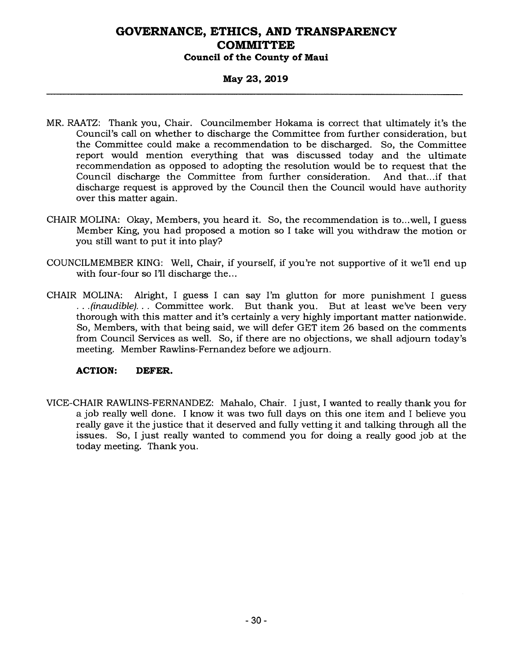### **May 23, 2019**

- MR. RAATZ: Thank you, Chair. Councilmember Hokama is correct that ultimately it's the Council's call on whether to discharge the Committee from further consideration, but the Committee could make a recommendation to be discharged. So, the Committee report would mention everything that was discussed today and the ultimate recommendation as opposed to adopting the resolution would be to request that the Council discharge the Committee from further consideration. And that...if that discharge request is approved by the Council then the Council would have authority over this matter again.
- CHAIR MOLINA: Okay, Members, you heard it. So, the recommendation is to...well, I guess Member King, you had proposed a motion so I take will you withdraw the motion or you still want to put it into play?
- COUNCILMEMBER KING: Well, Chair, if yourself, if you're not supportive of it we'll end up with four-four so I'll discharge the...
- CHAIR MOLINA: Alright, I guess I can say I'm glutton for more punishment I guess *. . . (inaudible). . .* Committee work. But thank you. But at least we've been very thorough with this matter and it's certainly a very highly important matter nationwide. So, Members, with that being said, we will defer GET item 26 based on the comments from Council Services as well. So, if there are no objections, we shall adjourn today's meeting. Member Rawlins-Fernandez before we adjourn.

#### **ACTION: DEFER.**

VICE-CHAIR RAWLINS-FERNANDEZ: Mahalo, Chair. I just, I wanted to really thank you for a job really well done. I know it was two full days on this one item and I believe you really gave it the justice that it deserved and fully vetting it and talking through all the issues. So, I just really wanted to commend you for doing a really good job at the today meeting. Thank you.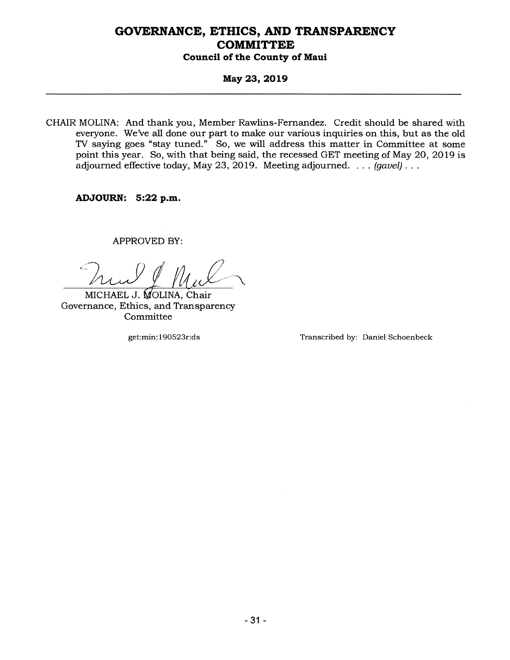### **May 23, 2019**

CHAIR MOLINA: And thank you, Member Rawlins-Fernandez. Credit should be shared with everyone. We've all done our part to make our various inquiries on this, but as the old TV saying goes "stay tuned." So, we will address this matter in Committee at some point this year. So, with that being said, the recessed GET meeting of May 20, 2019 is adjourned effective today, May 23, 2019. Meeting adjourned. . . . *(gavel) . . .* 

**ADJOURN: 5:22 p.m.** 

APPROVED BY:

M

MICHAEL J. MOLINA, Chair Governance, Ethics, and Transparency **Committee** 

get:min:190523r:ds Transcribed by: Daniel Schoenbeck